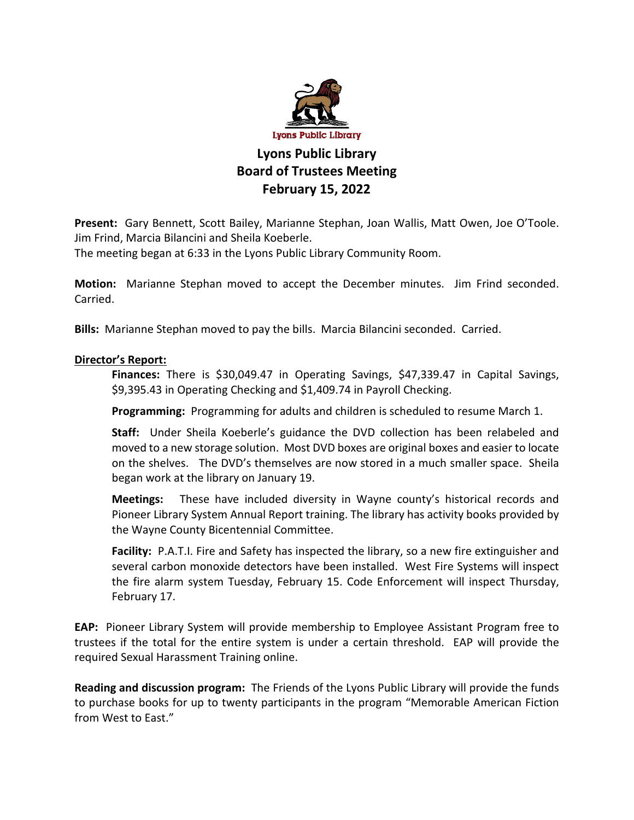

## **Lyons Public Library Board of Trustees Meeting February 15, 2022**

**Present:** Gary Bennett, Scott Bailey, Marianne Stephan, Joan Wallis, Matt Owen, Joe O'Toole. Jim Frind, Marcia Bilancini and Sheila Koeberle.

The meeting began at 6:33 in the Lyons Public Library Community Room.

**Motion:** Marianne Stephan moved to accept the December minutes. Jim Frind seconded. Carried.

**Bills:** Marianne Stephan moved to pay the bills. Marcia Bilancini seconded. Carried.

## **Director's Report:**

**Finances:** There is \$30,049.47 in Operating Savings, \$47,339.47 in Capital Savings, \$9,395.43 in Operating Checking and \$1,409.74 in Payroll Checking.

**Programming:** Programming for adults and children is scheduled to resume March 1.

**Staff:** Under Sheila Koeberle's guidance the DVD collection has been relabeled and moved to a new storage solution. Most DVD boxes are original boxes and easier to locate on the shelves. The DVD's themselves are now stored in a much smaller space. Sheila began work at the library on January 19.

**Meetings:** These have included diversity in Wayne county's historical records and Pioneer Library System Annual Report training. The library has activity books provided by the Wayne County Bicentennial Committee.

**Facility:** P.A.T.I. Fire and Safety has inspected the library, so a new fire extinguisher and several carbon monoxide detectors have been installed. West Fire Systems will inspect the fire alarm system Tuesday, February 15. Code Enforcement will inspect Thursday, February 17.

**EAP:** Pioneer Library System will provide membership to Employee Assistant Program free to trustees if the total for the entire system is under a certain threshold. EAP will provide the required Sexual Harassment Training online.

**Reading and discussion program:** The Friends of the Lyons Public Library will provide the funds to purchase books for up to twenty participants in the program "Memorable American Fiction from West to East."